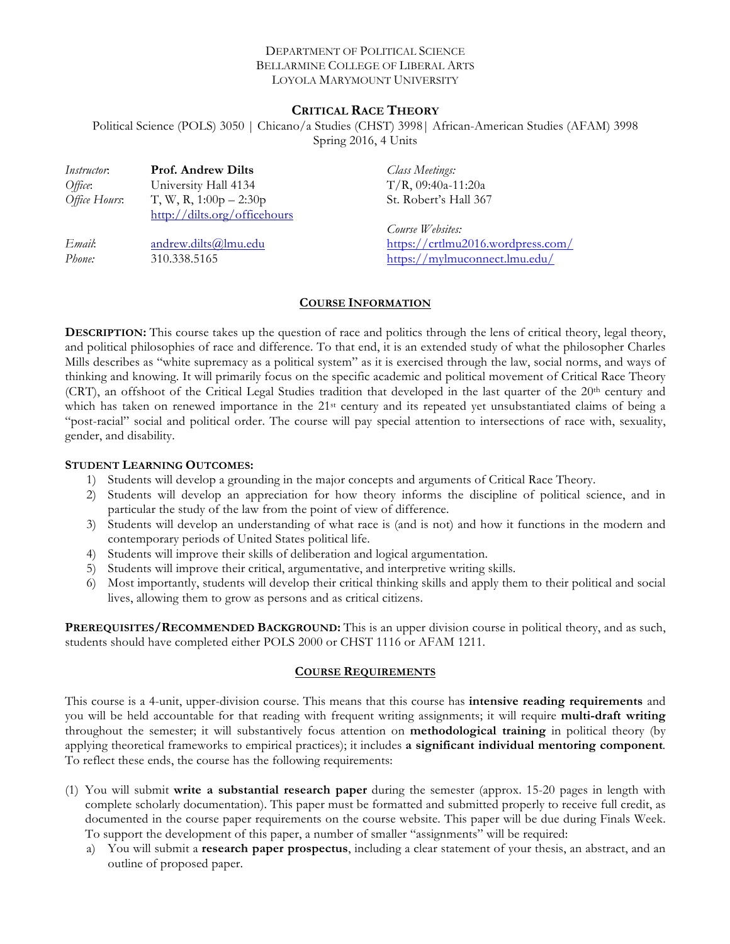## DEPARTMENT OF POLITICAL SCIENCE BELLARMINE COLLEGE OF LIBERAL ARTS LOYOLA MARYMOUNT UNIVERSITY

# **CRITICAL RACE THEORY**

Political Science (POLS) 3050 | Chicano/a Studies (CHST) 3998| African-American Studies (AFAM) 3998 Spring 2016, 4 Units

| <i>Instructor</i> : | <b>Prof. Andrew Dilts</b>    | <b>Class Meetings:</b>            |
|---------------------|------------------------------|-----------------------------------|
| Office:             | University Hall 4134         | $T/R$ , 09:40a-11:20a             |
| Office Hours:       | T, W, R, $1:00p - 2:30p$     | St. Robert's Hall 367             |
|                     | http://dilts.org/officehours |                                   |
|                     |                              | Course Websites:                  |
| Email:              | andrew.dilts@lmu.edu         | https://crtlmu2016.wordpress.com/ |
| Phone:              | 310.338.5165                 | https://mylmuconnect.lmu.edu/     |

# **COURSE INFORMATION**

**DESCRIPTION:** This course takes up the question of race and politics through the lens of critical theory, legal theory, and political philosophies of race and difference. To that end, it is an extended study of what the philosopher Charles Mills describes as "white supremacy as a political system" as it is exercised through the law, social norms, and ways of thinking and knowing. It will primarily focus on the specific academic and political movement of Critical Race Theory (CRT), an offshoot of the Critical Legal Studies tradition that developed in the last quarter of the  $20<sup>th</sup>$  century and which has taken on renewed importance in the 21<sup>st</sup> century and its repeated yet unsubstantiated claims of being a "post-racial" social and political order. The course will pay special attention to intersections of race with, sexuality, gender, and disability.

## **STUDENT LEARNING OUTCOMES:**

- 1) Students will develop a grounding in the major concepts and arguments of Critical Race Theory.
- 2) Students will develop an appreciation for how theory informs the discipline of political science, and in particular the study of the law from the point of view of difference.
- 3) Students will develop an understanding of what race is (and is not) and how it functions in the modern and contemporary periods of United States political life.
- 4) Students will improve their skills of deliberation and logical argumentation.
- 5) Students will improve their critical, argumentative, and interpretive writing skills.
- 6) Most importantly, students will develop their critical thinking skills and apply them to their political and social lives, allowing them to grow as persons and as critical citizens.

**PREREQUISITES/RECOMMENDED BACKGROUND:** This is an upper division course in political theory, and as such, students should have completed either POLS 2000 or CHST 1116 or AFAM 1211.

## **COURSE REQUIREMENTS**

This course is a 4-unit, upper-division course. This means that this course has **intensive reading requirements** and you will be held accountable for that reading with frequent writing assignments; it will require **multi-draft writing** throughout the semester; it will substantively focus attention on **methodological training** in political theory (by applying theoretical frameworks to empirical practices); it includes **a significant individual mentoring component***.*  To reflect these ends, the course has the following requirements:

- (1) You will submit **write a substantial research paper** during the semester (approx. 15-20 pages in length with complete scholarly documentation). This paper must be formatted and submitted properly to receive full credit, as documented in the course paper requirements on the course website. This paper will be due during Finals Week. To support the development of this paper, a number of smaller "assignments" will be required:
	- a) You will submit a **research paper prospectus**, including a clear statement of your thesis, an abstract, and an outline of proposed paper.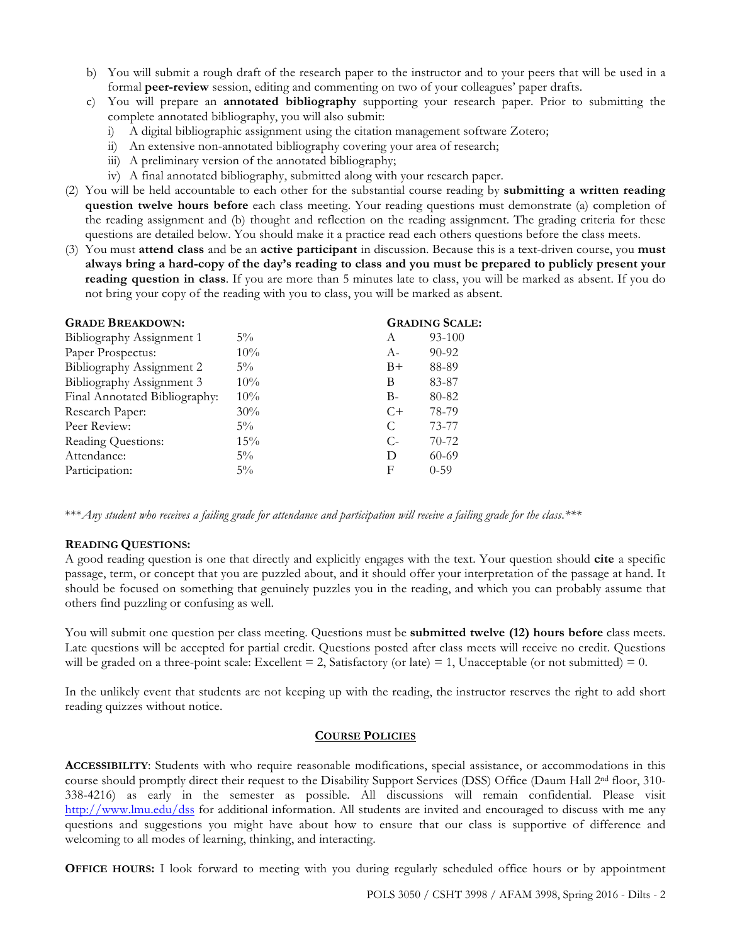- b) You will submit a rough draft of the research paper to the instructor and to your peers that will be used in a formal **peer-review** session, editing and commenting on two of your colleagues' paper drafts.
- c) You will prepare an **annotated bibliography** supporting your research paper. Prior to submitting the complete annotated bibliography, you will also submit:
	- i) A digital bibliographic assignment using the citation management software Zotero;
	- ii) An extensive non-annotated bibliography covering your area of research;
	- iii) A preliminary version of the annotated bibliography;
	- iv) A final annotated bibliography, submitted along with your research paper.
- (2) You will be held accountable to each other for the substantial course reading by **submitting a written reading question twelve hours before** each class meeting. Your reading questions must demonstrate (a) completion of the reading assignment and (b) thought and reflection on the reading assignment. The grading criteria for these questions are detailed below. You should make it a practice read each others questions before the class meets.
- (3) You must **attend class** and be an **active participant** in discussion. Because this is a text-driven course, you **must always bring a hard-copy of the day's reading to class and you must be prepared to publicly present your reading question in class**. If you are more than 5 minutes late to class, you will be marked as absent. If you do not bring your copy of the reading with you to class, you will be marked as absent.

| <b>GRADE BREAKDOWN:</b>       |        | <b>GRADING SCALE:</b> |           |
|-------------------------------|--------|-----------------------|-----------|
| Bibliography Assignment 1     | $5\%$  | A                     | 93-100    |
| Paper Prospectus:             | 10%    | $A-$                  | $90 - 92$ |
| Bibliography Assignment 2     | $5\%$  | $B+$                  | 88-89     |
| Bibliography Assignment 3     | $10\%$ | B                     | 83-87     |
| Final Annotated Bibliography: | 10%    | $B-$                  | 80-82     |
| Research Paper:               | 30%    | $C+$                  | 78-79     |
| Peer Review:                  | $5\%$  | C                     | 73-77     |
| Reading Questions:            | 15%    | $C_{\tau}$            | $70-72$   |
| Attendance:                   | $5\%$  | D                     | $60 - 69$ |
| Participation:                | $5\%$  | F                     | $0 - 59$  |
|                               |        |                       |           |

\*\*\**Any student who receives a failing grade for attendance and participation will receive a failing grade for the class*.*\*\*\**

## **READING QUESTIONS:**

A good reading question is one that directly and explicitly engages with the text. Your question should **cite** a specific passage, term, or concept that you are puzzled about, and it should offer your interpretation of the passage at hand. It should be focused on something that genuinely puzzles you in the reading, and which you can probably assume that others find puzzling or confusing as well.

You will submit one question per class meeting. Questions must be **submitted twelve (12) hours before** class meets. Late questions will be accepted for partial credit. Questions posted after class meets will receive no credit. Questions will be graded on a three-point scale: Excellent  $= 2$ , Satisfactory (or late)  $= 1$ , Unacceptable (or not submitted)  $= 0$ .

In the unlikely event that students are not keeping up with the reading, the instructor reserves the right to add short reading quizzes without notice.

## **COURSE POLICIES**

**ACCESSIBILITY**: Students with who require reasonable modifications, special assistance, or accommodations in this course should promptly direct their request to the Disability Support Services (DSS) Office (Daum Hall 2<sup>nd</sup> floor, 310-338-4216) as early in the semester as possible. All discussions will remain confidential. Please visit http://www.lmu.edu/dss for additional information. All students are invited and encouraged to discuss with me any questions and suggestions you might have about how to ensure that our class is supportive of difference and welcoming to all modes of learning, thinking, and interacting.

**OFFICE HOURS:** I look forward to meeting with you during regularly scheduled office hours or by appointment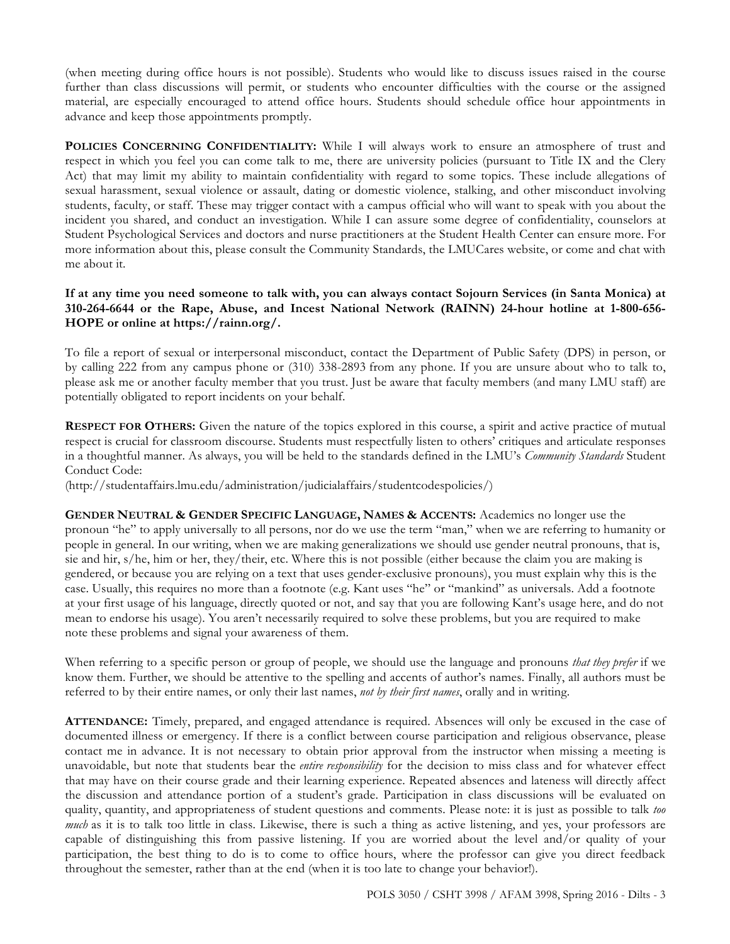(when meeting during office hours is not possible). Students who would like to discuss issues raised in the course further than class discussions will permit, or students who encounter difficulties with the course or the assigned material, are especially encouraged to attend office hours. Students should schedule office hour appointments in advance and keep those appointments promptly.

**POLICIES CONCERNING CONFIDENTIALITY:** While I will always work to ensure an atmosphere of trust and respect in which you feel you can come talk to me, there are university policies (pursuant to Title IX and the Clery Act) that may limit my ability to maintain confidentiality with regard to some topics. These include allegations of sexual harassment, sexual violence or assault, dating or domestic violence, stalking, and other misconduct involving students, faculty, or staff. These may trigger contact with a campus official who will want to speak with you about the incident you shared, and conduct an investigation. While I can assure some degree of confidentiality, counselors at Student Psychological Services and doctors and nurse practitioners at the Student Health Center can ensure more. For more information about this, please consult the Community Standards, the LMUCares website, or come and chat with me about it.

# **If at any time you need someone to talk with, you can always contact Sojourn Services (in Santa Monica) at 310-264-6644 or the Rape, Abuse, and Incest National Network (RAINN) 24-hour hotline at 1-800-656- HOPE or online at https://rainn.org/.**

To file a report of sexual or interpersonal misconduct, contact the Department of Public Safety (DPS) in person, or by calling 222 from any campus phone or (310) 338-2893 from any phone. If you are unsure about who to talk to, please ask me or another faculty member that you trust. Just be aware that faculty members (and many LMU staff) are potentially obligated to report incidents on your behalf.

**RESPECT FOR OTHERS:** Given the nature of the topics explored in this course, a spirit and active practice of mutual respect is crucial for classroom discourse. Students must respectfully listen to others' critiques and articulate responses in a thoughtful manner. As always, you will be held to the standards defined in the LMU's *Community Standards* Student Conduct Code:

(http://studentaffairs.lmu.edu/administration/judicialaffairs/studentcodespolicies/)

**GENDER NEUTRAL & GENDER SPECIFIC LANGUAGE, NAMES & ACCENTS:** Academics no longer use the pronoun "he" to apply universally to all persons, nor do we use the term "man," when we are referring to humanity or people in general. In our writing, when we are making generalizations we should use gender neutral pronouns, that is, sie and hir, s/he, him or her, they/their, etc. Where this is not possible (either because the claim you are making is gendered, or because you are relying on a text that uses gender-exclusive pronouns), you must explain why this is the case. Usually, this requires no more than a footnote (e.g. Kant uses "he" or "mankind" as universals. Add a footnote at your first usage of his language, directly quoted or not, and say that you are following Kant's usage here, and do not mean to endorse his usage). You aren't necessarily required to solve these problems, but you are required to make note these problems and signal your awareness of them.

When referring to a specific person or group of people, we should use the language and pronouns *that they prefer* if we know them. Further, we should be attentive to the spelling and accents of author's names. Finally, all authors must be referred to by their entire names, or only their last names, *not by their first names*, orally and in writing.

**ATTENDANCE:** Timely, prepared, and engaged attendance is required. Absences will only be excused in the case of documented illness or emergency. If there is a conflict between course participation and religious observance, please contact me in advance. It is not necessary to obtain prior approval from the instructor when missing a meeting is unavoidable, but note that students bear the *entire responsibility* for the decision to miss class and for whatever effect that may have on their course grade and their learning experience. Repeated absences and lateness will directly affect the discussion and attendance portion of a student's grade. Participation in class discussions will be evaluated on quality, quantity, and appropriateness of student questions and comments. Please note: it is just as possible to talk *too much* as it is to talk too little in class. Likewise, there is such a thing as active listening, and yes, your professors are capable of distinguishing this from passive listening. If you are worried about the level and/or quality of your participation, the best thing to do is to come to office hours, where the professor can give you direct feedback throughout the semester, rather than at the end (when it is too late to change your behavior!).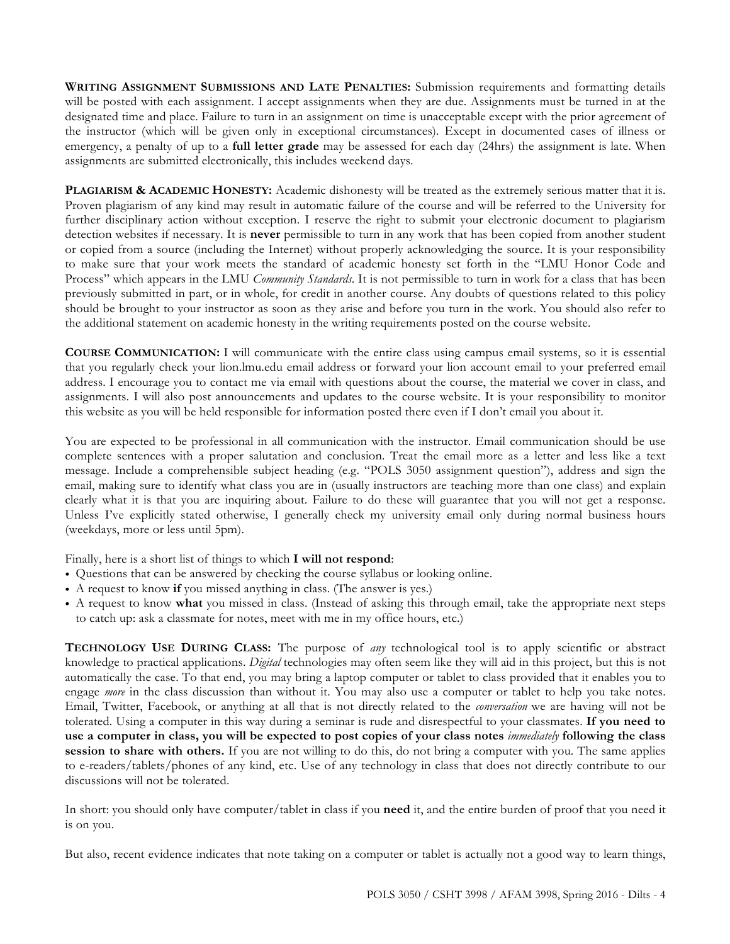**WRITING ASSIGNMENT SUBMISSIONS AND LATE PENALTIES:** Submission requirements and formatting details will be posted with each assignment. I accept assignments when they are due. Assignments must be turned in at the designated time and place. Failure to turn in an assignment on time is unacceptable except with the prior agreement of the instructor (which will be given only in exceptional circumstances). Except in documented cases of illness or emergency, a penalty of up to a **full letter grade** may be assessed for each day (24hrs) the assignment is late. When assignments are submitted electronically, this includes weekend days.

**PLAGIARISM & ACADEMIC HONESTY:** Academic dishonesty will be treated as the extremely serious matter that it is. Proven plagiarism of any kind may result in automatic failure of the course and will be referred to the University for further disciplinary action without exception. I reserve the right to submit your electronic document to plagiarism detection websites if necessary. It is **never** permissible to turn in any work that has been copied from another student or copied from a source (including the Internet) without properly acknowledging the source. It is your responsibility to make sure that your work meets the standard of academic honesty set forth in the "LMU Honor Code and Process" which appears in the LMU *Community Standards*. It is not permissible to turn in work for a class that has been previously submitted in part, or in whole, for credit in another course. Any doubts of questions related to this policy should be brought to your instructor as soon as they arise and before you turn in the work. You should also refer to the additional statement on academic honesty in the writing requirements posted on the course website.

**COURSE COMMUNICATION:** I will communicate with the entire class using campus email systems, so it is essential that you regularly check your lion.lmu.edu email address or forward your lion account email to your preferred email address. I encourage you to contact me via email with questions about the course, the material we cover in class, and assignments. I will also post announcements and updates to the course website. It is your responsibility to monitor this website as you will be held responsible for information posted there even if I don't email you about it.

You are expected to be professional in all communication with the instructor. Email communication should be use complete sentences with a proper salutation and conclusion. Treat the email more as a letter and less like a text message. Include a comprehensible subject heading (e.g. "POLS 3050 assignment question"), address and sign the email, making sure to identify what class you are in (usually instructors are teaching more than one class) and explain clearly what it is that you are inquiring about. Failure to do these will guarantee that you will not get a response. Unless I've explicitly stated otherwise, I generally check my university email only during normal business hours (weekdays, more or less until 5pm).

Finally, here is a short list of things to which **I will not respond**:

- Questions that can be answered by checking the course syllabus or looking online.
- A request to know **if** you missed anything in class. (The answer is yes.)
- A request to know **what** you missed in class. (Instead of asking this through email, take the appropriate next steps to catch up: ask a classmate for notes, meet with me in my office hours, etc.)

**TECHNOLOGY USE DURING CLASS:** The purpose of *any* technological tool is to apply scientific or abstract knowledge to practical applications. *Digital* technologies may often seem like they will aid in this project, but this is not automatically the case. To that end, you may bring a laptop computer or tablet to class provided that it enables you to engage *more* in the class discussion than without it. You may also use a computer or tablet to help you take notes. Email, Twitter, Facebook, or anything at all that is not directly related to the *conversation* we are having will not be tolerated. Using a computer in this way during a seminar is rude and disrespectful to your classmates. **If you need to use a computer in class, you will be expected to post copies of your class notes** *immediately* **following the class session to share with others.** If you are not willing to do this, do not bring a computer with you. The same applies to e-readers/tablets/phones of any kind, etc. Use of any technology in class that does not directly contribute to our discussions will not be tolerated.

In short: you should only have computer/tablet in class if you **need** it, and the entire burden of proof that you need it is on you.

But also, recent evidence indicates that note taking on a computer or tablet is actually not a good way to learn things,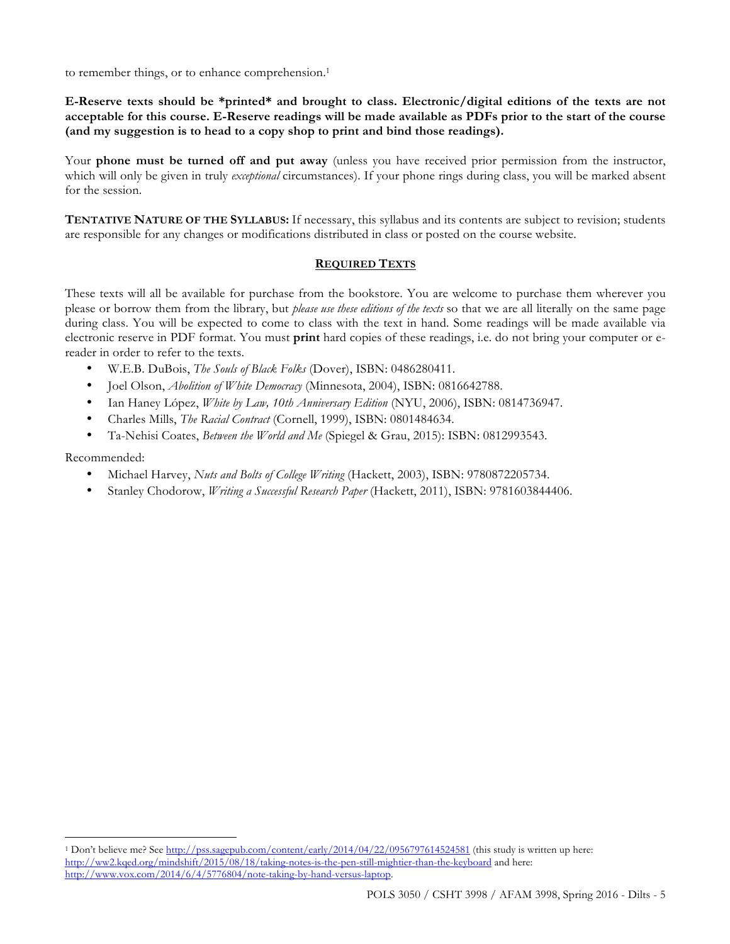to remember things, or to enhance comprehension.<sup>1</sup>

**E-Reserve texts should be \*printed\* and brought to class. Electronic/digital editions of the texts are not acceptable for this course. E-Reserve readings will be made available as PDFs prior to the start of the course (and my suggestion is to head to a copy shop to print and bind those readings).** 

Your **phone must be turned off and put away** (unless you have received prior permission from the instructor, which will only be given in truly *exceptional* circumstances). If your phone rings during class, you will be marked absent for the session.

**TENTATIVE NATURE OF THE SYLLABUS:** If necessary, this syllabus and its contents are subject to revision; students are responsible for any changes or modifications distributed in class or posted on the course website.

## **REQUIRED TEXTS**

These texts will all be available for purchase from the bookstore. You are welcome to purchase them wherever you please or borrow them from the library, but *please use these editions of the texts* so that we are all literally on the same page during class. You will be expected to come to class with the text in hand. Some readings will be made available via electronic reserve in PDF format. You must **print** hard copies of these readings, i.e. do not bring your computer or ereader in order to refer to the texts.

- W.E.B. DuBois, *The Souls of Black Folks* (Dover), ISBN: 0486280411.
- Joel Olson, *Abolition of White Democracy* (Minnesota, 2004), ISBN: 0816642788.
- Ian Haney López, *White by Law, 10th Anniversary Edition* (NYU, 2006), ISBN: 0814736947.
- Charles Mills, *The Racial Contract* (Cornell, 1999), ISBN: 0801484634.
- Ta-Nehisi Coates, *Between the World and Me* (Spiegel & Grau, 2015): ISBN: 0812993543.

Recommended:

 $\overline{a}$ 

- Michael Harvey, *Nuts and Bolts of College Writing* (Hackett, 2003), ISBN: 9780872205734.
- Stanley Chodorow, *Writing a Successful Research Paper* (Hackett, 2011), ISBN: 9781603844406.

<sup>1</sup> Don't believe me? See http://pss.sagepub.com/content/early/2014/04/22/0956797614524581 (this study is written up here: http://ww2.kqed.org/mindshift/2015/08/18/taking-notes-is-the-pen-still-mightier-than-the-keyboard and here: http://www.vox.com/2014/6/4/5776804/note-taking-by-hand-versus-laptop.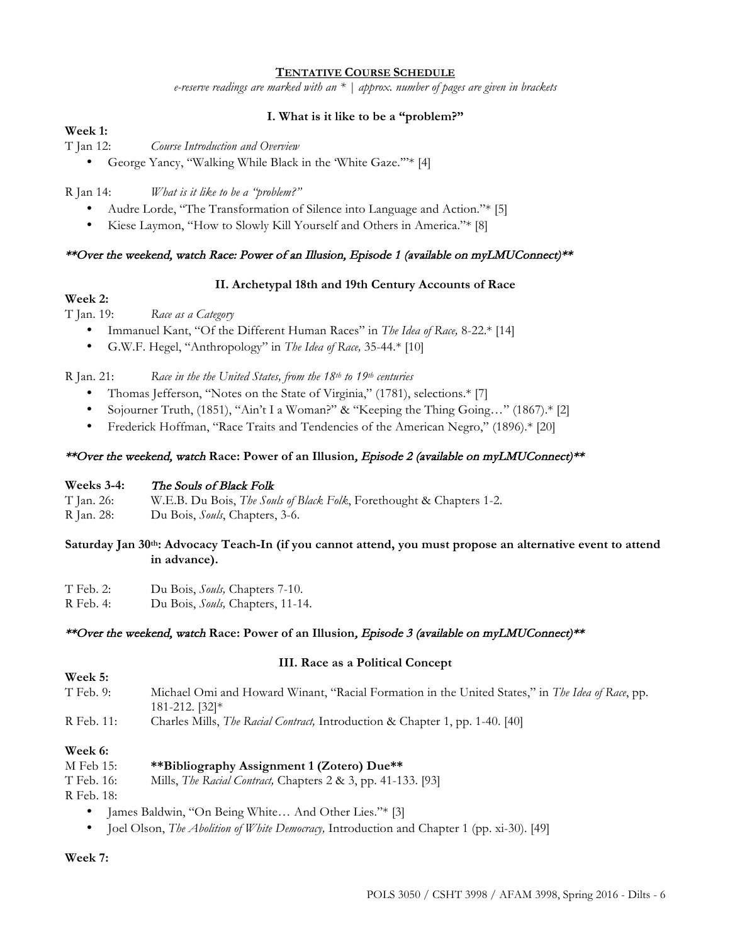# **TENTATIVE COURSE SCHEDULE**

*e-reserve readings are marked with an \* | approx. number of pages are given in brackets*

## **I. What is it like to be a "problem?"**

# **Week 1:**

T Jan 12: *Course Introduction and Overview*

• George Yancy, "Walking While Black in the 'White Gaze.'"\* [4]

R Jan 14: *What is it like to be a "problem?"*

- Audre Lorde, "The Transformation of Silence into Language and Action."\* [5]
- Kiese Laymon, "How to Slowly Kill Yourself and Others in America."\* [8]

### \*\*Over the weekend, watch Race: Power of an Illusion, Episode 1 (available on myLMUConnect)\*\*

### **II. Archetypal 18th and 19th Century Accounts of Race**

### **Week 2:**

T Jan. 19: *Race as a Category*

- Immanuel Kant, "Of the Different Human Races" in *The Idea of Race,* 8-22.\* [14]
- G.W.F. Hegel, "Anthropology" in *The Idea of Race,* 35-44.\* [10]

R Jan. 21: *Race in the the United States, from the 18th to 19th centuries* 

- Thomas Jefferson, "Notes on the State of Virginia," (1781), selections.\* [7]
- Sojourner Truth, (1851), "Ain't I a Woman?" & "Keeping the Thing Going…" (1867).\* [2]
- Frederick Hoffman, "Race Traits and Tendencies of the American Negro," (1896).\* [20]

### \*\*Over the weekend, watch **Race: Power of an Illusion**, Episode 2 (available on myLMUConnect)\*\*

#### **Weeks 3-4:** The Souls of Black Folk

T Jan. 26: W.E.B. Du Bois, *The Souls of Black Folk*, Forethought & Chapters 1-2.

R Jan. 28: Du Bois, *Souls*, Chapters, 3-6.

## **Saturday Jan 30th: Advocacy Teach-In (if you cannot attend, you must propose an alternative event to attend in advance).**

- T Feb. 2: Du Bois, *Souls,* Chapters 7-10.
- R Feb. 4: Du Bois, *Souls,* Chapters, 11-14.

#### \*\*Over the weekend, watch **Race: Power of an Illusion**, Episode 3 (available on myLMUConnect)\*\*

#### **III. Race as a Political Concept**

- T Feb. 9: Michael Omi and Howard Winant, "Racial Formation in the United States," in *The Idea of Race*, pp. 181-212. [32]\*
- R Feb. 11: Charles Mills, *The Racial Contract,* Introduction & Chapter 1, pp. 1-40. [40]

#### **Week 6:**

**Week 5:**

#### M Feb 15: **\*\*Bibliography Assignment 1 (Zotero) Due\*\***

T Feb. 16: Mills, *The Racial Contract,* Chapters 2 & 3, pp. 41-133. [93]

R Feb. 18:

- James Baldwin, "On Being White... And Other Lies."\* [3]
- Joel Olson, *The Abolition of White Democracy,* Introduction and Chapter 1 (pp. xi-30). [49]

**Week 7:**